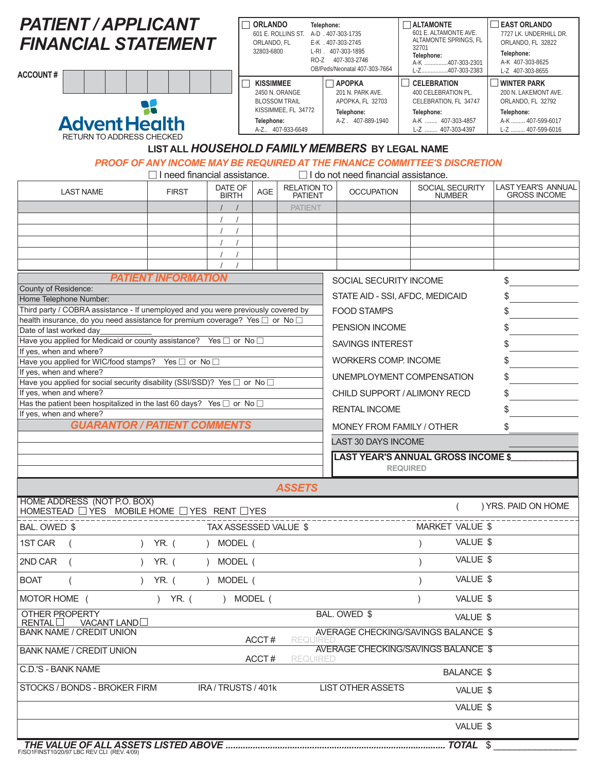| <b>PATIENT / APPLICANT</b><br><b>FINANCIAL STATEMENT</b><br><b>ACCOUNT#</b><br><b>Advent Health</b><br><b>RETURN TO ADDRESS CHECKED</b>                                                                                                                                                                                                                                                                                                                                                                                                                                                                                                                                                                                 |                                                             | <b>ORLANDO</b><br>ORLANDO, FL<br>32803-6800<br><b>KISSIMMEE</b><br>Telephone: | Telephone:<br>601 E. ROLLINS ST. A-D . 407-303-1735<br>2450 N. ORANGE<br><b>BLOSSOM TRAIL</b><br>KISSIMMEE, FL 34772<br>A-Z 407-933-6649 |                                      | E-K . 407-303-2745<br>L-RI . 407-303-1895<br>RO-Z 407-303-2746<br>OB/Peds/Neonatal 407-303-7664<br>$\Box$ APOPKA<br>201 N. PARK AVE.<br>APOPKA, FL 32703<br>Telephone:<br>A-Z. 407-889-1940                                                                                    |                          | $\Box$ ALTAMONTE<br>601 E. ALTAMONTE AVE.<br>ALTAMONTE SPRINGS, FL<br>32701<br>Telephone:<br>A-K 407-303-2301<br>L-Z407-303-2383<br><b>CELEBRATION</b><br>400 CELEBRATION PL.<br>CELEBRATION, FL 34747<br>Telephone:<br>A-K  407-303-4857<br>L-Z  407-303-4397 | <b>EAST ORLANDO</b><br>7727 LK. UNDERHILL DR.<br>ORLANDO, FL 32822<br>Telephone:<br>A-K 407-303-8625<br>L-Z 407-303-8655<br><b>WINTER PARK</b><br>200 N. LAKEMONT AVE.<br>ORLANDO, FL 32792<br>Telephone:<br>A-K  407-599-6017<br>L-Z  407-599-6016 |                                           |  |  |  |  |  |  |  |  |
|-------------------------------------------------------------------------------------------------------------------------------------------------------------------------------------------------------------------------------------------------------------------------------------------------------------------------------------------------------------------------------------------------------------------------------------------------------------------------------------------------------------------------------------------------------------------------------------------------------------------------------------------------------------------------------------------------------------------------|-------------------------------------------------------------|-------------------------------------------------------------------------------|------------------------------------------------------------------------------------------------------------------------------------------|--------------------------------------|--------------------------------------------------------------------------------------------------------------------------------------------------------------------------------------------------------------------------------------------------------------------------------|--------------------------|----------------------------------------------------------------------------------------------------------------------------------------------------------------------------------------------------------------------------------------------------------------|-----------------------------------------------------------------------------------------------------------------------------------------------------------------------------------------------------------------------------------------------------|-------------------------------------------|--|--|--|--|--|--|--|--|
| LIST ALL HOUSEHOLD FAMILY MEMBERS BY LEGAL NAME<br>PROOF OF ANY INCOME MAY BE REQUIRED AT THE FINANCE COMMITTEE'S DISCRETION<br>$\Box$ I do not need financial assistance.<br>$\Box$ I need financial assistance.                                                                                                                                                                                                                                                                                                                                                                                                                                                                                                       |                                                             |                                                                               |                                                                                                                                          |                                      |                                                                                                                                                                                                                                                                                |                          |                                                                                                                                                                                                                                                                |                                                                                                                                                                                                                                                     |                                           |  |  |  |  |  |  |  |  |
| <b>LAST NAME</b>                                                                                                                                                                                                                                                                                                                                                                                                                                                                                                                                                                                                                                                                                                        | <b>FIRST</b>                                                | DATE OF<br><b>BIRTH</b>                                                       | AGE                                                                                                                                      | <b>RELATION TO</b><br><b>PATIENT</b> |                                                                                                                                                                                                                                                                                | <b>OCCUPATION</b>        |                                                                                                                                                                                                                                                                | SOCIAL SECURITY<br><b>NUMBER</b>                                                                                                                                                                                                                    | LAST YEAR'S ANNUAL<br><b>GROSS INCOME</b> |  |  |  |  |  |  |  |  |
|                                                                                                                                                                                                                                                                                                                                                                                                                                                                                                                                                                                                                                                                                                                         |                                                             |                                                                               |                                                                                                                                          | <b>PATIENT</b>                       |                                                                                                                                                                                                                                                                                |                          |                                                                                                                                                                                                                                                                |                                                                                                                                                                                                                                                     |                                           |  |  |  |  |  |  |  |  |
| <b>PATIENT INFORMATION</b><br>County of Residence:<br>Home Telephone Number:<br>Third party / COBRA assistance - If unemployed and you were previously covered by<br>health insurance, do you need assistance for premium coverage? Yes □ or No<br>Date of last worked day<br>Have you applied for Medicaid or county assistance? Yes □ or No □<br>If yes, when and where?<br>Have you applied for WIC/food stamps? Yes □ or No □<br>If yes, when and where?<br>Have you applied for social security disability (SSI/SSD)? Yes □ or No □<br>If yes, when and where?<br>Has the patient been hospitalized in the last 60 days? Yes $\Box$ or No $\Box$<br>If yes, when and where?<br><b>GUARANTOR / PATIENT COMMENTS</b> |                                                             |                                                                               |                                                                                                                                          |                                      | SOCIAL SECURITY INCOME<br>STATE AID - SSI, AFDC, MEDICAID<br><b>FOOD STAMPS</b><br>PENSION INCOME<br><b>SAVINGS INTEREST</b><br><b>WORKERS COMP. INCOME</b><br>CHILD SUPPORT / ALIMONY RECD<br><b>RENTAL INCOME</b><br>MONEY FROM FAMILY / OTHER<br><b>LAST 30 DAYS INCOME</b> | <b>REQUIRED</b>          | UNEMPLOYMENT COMPENSATION<br>LAST YEAR'S ANNUAL GROSS INCOME \$_                                                                                                                                                                                               | \$<br>\$<br>\$<br>\$<br>\$<br>\$<br>\$<br>\$<br>\$<br>\$                                                                                                                                                                                            |                                           |  |  |  |  |  |  |  |  |
| HOME ADDRESS (NOT P.O. BOX)                                                                                                                                                                                                                                                                                                                                                                                                                                                                                                                                                                                                                                                                                             |                                                             |                                                                               |                                                                                                                                          | <b>ASSETS</b>                        |                                                                                                                                                                                                                                                                                |                          |                                                                                                                                                                                                                                                                |                                                                                                                                                                                                                                                     | ) YRS. PAID ON HOME                       |  |  |  |  |  |  |  |  |
| HOMESTEAD DYES MOBILE HOME DYES RENT DYES                                                                                                                                                                                                                                                                                                                                                                                                                                                                                                                                                                                                                                                                               |                                                             |                                                                               |                                                                                                                                          |                                      |                                                                                                                                                                                                                                                                                |                          |                                                                                                                                                                                                                                                                |                                                                                                                                                                                                                                                     |                                           |  |  |  |  |  |  |  |  |
| 1ST CAR                                                                                                                                                                                                                                                                                                                                                                                                                                                                                                                                                                                                                                                                                                                 | BAL. OWED \$<br>TAX ASSESSED VALUE \$<br>YR. (<br>) MODEL ( |                                                                               |                                                                                                                                          |                                      |                                                                                                                                                                                                                                                                                |                          |                                                                                                                                                                                                                                                                |                                                                                                                                                                                                                                                     | MARKET VALUE \$<br>VALUE \$               |  |  |  |  |  |  |  |  |
| 2ND CAR                                                                                                                                                                                                                                                                                                                                                                                                                                                                                                                                                                                                                                                                                                                 | YR. (                                                       | MODEL (                                                                       |                                                                                                                                          |                                      | VALUE \$                                                                                                                                                                                                                                                                       |                          |                                                                                                                                                                                                                                                                |                                                                                                                                                                                                                                                     |                                           |  |  |  |  |  |  |  |  |
| <b>BOAT</b><br>$\lambda$                                                                                                                                                                                                                                                                                                                                                                                                                                                                                                                                                                                                                                                                                                | YR. (                                                       | MODEL (                                                                       |                                                                                                                                          |                                      |                                                                                                                                                                                                                                                                                |                          |                                                                                                                                                                                                                                                                | VALUE \$                                                                                                                                                                                                                                            |                                           |  |  |  |  |  |  |  |  |
| MOTOR HOME (                                                                                                                                                                                                                                                                                                                                                                                                                                                                                                                                                                                                                                                                                                            | YR. (<br>$\lambda$                                          |                                                                               | MODEL (                                                                                                                                  |                                      |                                                                                                                                                                                                                                                                                |                          |                                                                                                                                                                                                                                                                | VALUE \$                                                                                                                                                                                                                                            |                                           |  |  |  |  |  |  |  |  |
| OTHER PROPERTY<br>RENTAL<br>VACANT LAND<br><b>BANK NAME / CREDIT UNION</b>                                                                                                                                                                                                                                                                                                                                                                                                                                                                                                                                                                                                                                              |                                                             |                                                                               | ACCT#                                                                                                                                    | REQUIREI                             |                                                                                                                                                                                                                                                                                | BAL. OWED \$             |                                                                                                                                                                                                                                                                | VALUE \$<br>AVERAGE CHECKING/SAVINGS BALANCE \$                                                                                                                                                                                                     |                                           |  |  |  |  |  |  |  |  |
| <b>BANK NAME / CREDIT UNION</b>                                                                                                                                                                                                                                                                                                                                                                                                                                                                                                                                                                                                                                                                                         |                                                             |                                                                               | ACCT#                                                                                                                                    | <b>REQUIRED</b>                      |                                                                                                                                                                                                                                                                                |                          |                                                                                                                                                                                                                                                                | AVERAGE CHECKING/SAVINGS BALANCE \$                                                                                                                                                                                                                 |                                           |  |  |  |  |  |  |  |  |
| <b>C.D.'S - BANK NAME</b><br>STOCKS / BONDS - BROKER FIRM                                                                                                                                                                                                                                                                                                                                                                                                                                                                                                                                                                                                                                                               |                                                             | IRA / TRUSTS / 401k                                                           |                                                                                                                                          |                                      |                                                                                                                                                                                                                                                                                | <b>LIST OTHER ASSETS</b> |                                                                                                                                                                                                                                                                | <b>BALANCE \$</b><br>VALUE \$<br>VALUE \$                                                                                                                                                                                                           |                                           |  |  |  |  |  |  |  |  |
|                                                                                                                                                                                                                                                                                                                                                                                                                                                                                                                                                                                                                                                                                                                         |                                                             |                                                                               |                                                                                                                                          |                                      |                                                                                                                                                                                                                                                                                |                          |                                                                                                                                                                                                                                                                | VALUE \$                                                                                                                                                                                                                                            |                                           |  |  |  |  |  |  |  |  |
|                                                                                                                                                                                                                                                                                                                                                                                                                                                                                                                                                                                                                                                                                                                         |                                                             |                                                                               |                                                                                                                                          |                                      |                                                                                                                                                                                                                                                                                |                          |                                                                                                                                                                                                                                                                |                                                                                                                                                                                                                                                     |                                           |  |  |  |  |  |  |  |  |

F/SO1FINST10/20/97 LBC REV CLI (REV. 4/09)